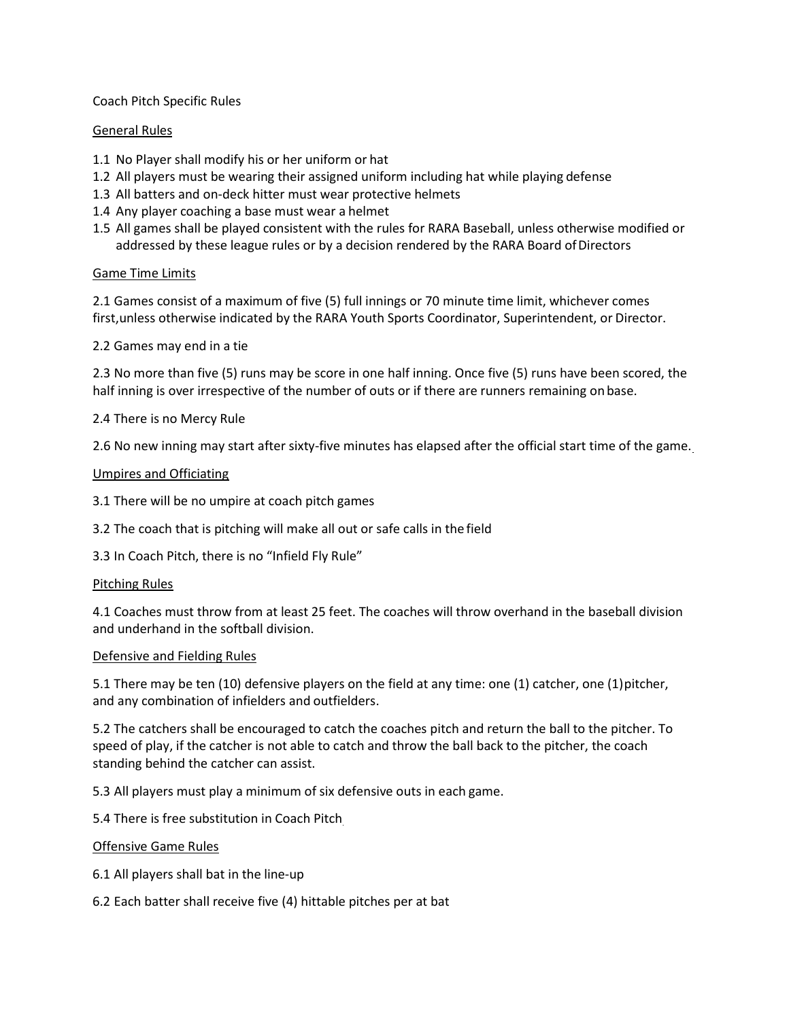# Coach Pitch Specific Rules

# General Rules

- 1.1 No Player shall modify his or her uniform or hat
- 1.2 All players must be wearing their assigned uniform including hat while playing defense
- 1.3 All batters and on-deck hitter must wear protective helmets
- 1.4 Any player coaching a base must wear a helmet
- 1.5 All games shall be played consistent with the rules for RARA Baseball, unless otherwise modified or addressed by these league rules or by a decision rendered by the RARA Board of Directors

# Game Time Limits

2.1 Games consist of a maximum of five (5) full innings or 70 minute time limit, whichever comes first,unless otherwise indicated by the RARA Youth Sports Coordinator, Superintendent, or Director.

2.2 Games may end in a tie

2.3 No more than five (5) runs may be score in one half inning. Once five (5) runs have been scored, the half inning is over irrespective of the number of outs or if there are runners remaining on base.

2.4 There is no Mercy Rule

2.6 No new inning may start after sixty-five minutes has elapsed after the official start time of the game.

# Umpires and Officiating

3.1 There will be no umpire at coach pitch games

3.2 The coach that is pitching will make all out or safe calls in the field

3.3 In Coach Pitch, there is no "Infield Fly Rule"

# Pitching Rules

4.1 Coaches must throw from at least 25 feet. The coaches will throw overhand in the baseball division and underhand in the softball division.

# Defensive and Fielding Rules

5.1 There may be ten (10) defensive players on the field at any time: one (1) catcher, one (1) pitcher, and any combination of infielders and outfielders.

5.2 The catchers shall be encouraged to catch the coaches pitch and return the ball to the pitcher. To speed of play, if the catcher is not able to catch and throw the ball back to the pitcher, the coach standing behind the catcher can assist.

5.3 All players must play a minimum of six defensive outs in each game.

5.4 There is free substitution in Coach Pitch

# Offensive Game Rules

6.1 All players shall bat in the line-up

6.2 Each batter shall receive five (4) hittable pitches per at bat